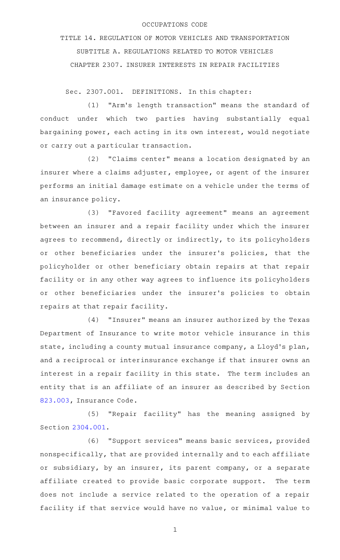## OCCUPATIONS CODE

TITLE 14. REGULATION OF MOTOR VEHICLES AND TRANSPORTATION SUBTITLE A. REGULATIONS RELATED TO MOTOR VEHICLES CHAPTER 2307. INSURER INTERESTS IN REPAIR FACILITIES

Sec. 2307.001. DEFINITIONS. In this chapter:

(1) "Arm's length transaction" means the standard of conduct under which two parties having substantially equal bargaining power, each acting in its own interest, would negotiate or carry out a particular transaction.

(2) "Claims center" means a location designated by an insurer where a claims adjuster, employee, or agent of the insurer performs an initial damage estimate on a vehicle under the terms of an insurance policy.

(3) "Favored facility agreement" means an agreement between an insurer and a repair facility under which the insurer agrees to recommend, directly or indirectly, to its policyholders or other beneficiaries under the insurer 's policies, that the policyholder or other beneficiary obtain repairs at that repair facility or in any other way agrees to influence its policyholders or other beneficiaries under the insurer 's policies to obtain repairs at that repair facility.

(4) "Insurer" means an insurer authorized by the Texas Department of Insurance to write motor vehicle insurance in this state, including a county mutual insurance company, a Lloyd's plan, and a reciprocal or interinsurance exchange if that insurer owns an interest in a repair facility in this state. The term includes an entity that is an affiliate of an insurer as described by Section [823.003,](http://www.statutes.legis.state.tx.us/GetStatute.aspx?Code=IN&Value=823.003) Insurance Code.

(5) "Repair facility" has the meaning assigned by Section [2304.001](http://www.statutes.legis.state.tx.us/GetStatute.aspx?Code=OC&Value=2304.001).

(6) "Support services" means basic services, provided nonspecifically, that are provided internally and to each affiliate or subsidiary, by an insurer, its parent company, or a separate affiliate created to provide basic corporate support. The term does not include a service related to the operation of a repair facility if that service would have no value, or minimal value to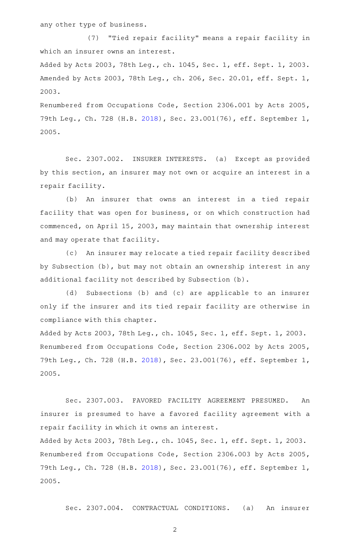any other type of business.

(7) "Tied repair facility" means a repair facility in which an insurer owns an interest.

Added by Acts 2003, 78th Leg., ch. 1045, Sec. 1, eff. Sept. 1, 2003. Amended by Acts 2003, 78th Leg., ch. 206, Sec. 20.01, eff. Sept. 1, 2003.

Renumbered from Occupations Code, Section 2306.001 by Acts 2005, 79th Leg., Ch. 728 (H.B. [2018\)](http://www.legis.state.tx.us/tlodocs/79R/billtext/html/HB02018F.HTM), Sec. 23.001(76), eff. September 1, 2005.

Sec. 2307.002. INSURER INTERESTS. (a) Except as provided by this section, an insurer may not own or acquire an interest in a repair facility.

(b) An insurer that owns an interest in a tied repair facility that was open for business, or on which construction had commenced, on April 15, 2003, may maintain that ownership interest and may operate that facility.

(c) An insurer may relocate a tied repair facility described by Subsection (b), but may not obtain an ownership interest in any additional facility not described by Subsection (b).

(d) Subsections (b) and (c) are applicable to an insurer only if the insurer and its tied repair facility are otherwise in compliance with this chapter.

Added by Acts 2003, 78th Leg., ch. 1045, Sec. 1, eff. Sept. 1, 2003. Renumbered from Occupations Code, Section 2306.002 by Acts 2005, 79th Leg., Ch. 728 (H.B. [2018\)](http://www.legis.state.tx.us/tlodocs/79R/billtext/html/HB02018F.HTM), Sec. 23.001(76), eff. September 1, 2005.

Sec. 2307.003. FAVORED FACILITY AGREEMENT PRESUMED. An insurer is presumed to have a favored facility agreement with a repair facility in which it owns an interest.

Added by Acts 2003, 78th Leg., ch. 1045, Sec. 1, eff. Sept. 1, 2003. Renumbered from Occupations Code, Section 2306.003 by Acts 2005, 79th Leg., Ch. 728 (H.B. [2018\)](http://www.legis.state.tx.us/tlodocs/79R/billtext/html/HB02018F.HTM), Sec. 23.001(76), eff. September 1, 2005.

Sec. 2307.004. CONTRACTUAL CONDITIONS. (a) An insurer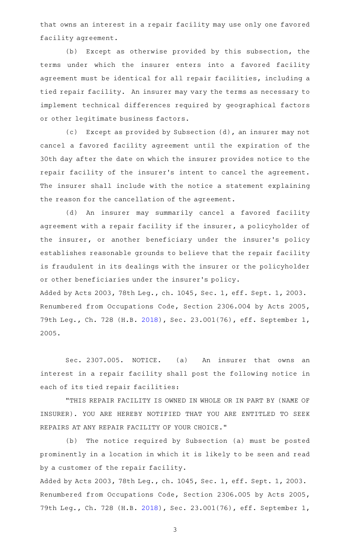that owns an interest in a repair facility may use only one favored facility agreement.

(b) Except as otherwise provided by this subsection, the terms under which the insurer enters into a favored facility agreement must be identical for all repair facilities, including a tied repair facility. An insurer may vary the terms as necessary to implement technical differences required by geographical factors or other legitimate business factors.

(c) Except as provided by Subsection (d), an insurer may not cancel a favored facility agreement until the expiration of the 30th day after the date on which the insurer provides notice to the repair facility of the insurer 's intent to cancel the agreement. The insurer shall include with the notice a statement explaining the reason for the cancellation of the agreement.

(d) An insurer may summarily cancel a favored facility agreement with a repair facility if the insurer, a policyholder of the insurer, or another beneficiary under the insurer's policy establishes reasonable grounds to believe that the repair facility is fraudulent in its dealings with the insurer or the policyholder or other beneficiaries under the insurer 's policy.

Added by Acts 2003, 78th Leg., ch. 1045, Sec. 1, eff. Sept. 1, 2003. Renumbered from Occupations Code, Section 2306.004 by Acts 2005, 79th Leg., Ch. 728 (H.B. [2018\)](http://www.legis.state.tx.us/tlodocs/79R/billtext/html/HB02018F.HTM), Sec. 23.001(76), eff. September 1, 2005.

Sec. 2307.005. NOTICE. (a) An insurer that owns an interest in a repair facility shall post the following notice in each of its tied repair facilities:

"THIS REPAIR FACILITY IS OWNED IN WHOLE OR IN PART BY (NAME OF INSURER). YOU ARE HEREBY NOTIFIED THAT YOU ARE ENTITLED TO SEEK REPAIRS AT ANY REPAIR FACILITY OF YOUR CHOICE."

(b) The notice required by Subsection (a) must be posted prominently in a location in which it is likely to be seen and read by a customer of the repair facility.

Added by Acts 2003, 78th Leg., ch. 1045, Sec. 1, eff. Sept. 1, 2003. Renumbered from Occupations Code, Section 2306.005 by Acts 2005, 79th Leg., Ch. 728 (H.B. [2018\)](http://www.legis.state.tx.us/tlodocs/79R/billtext/html/HB02018F.HTM), Sec. 23.001(76), eff. September 1,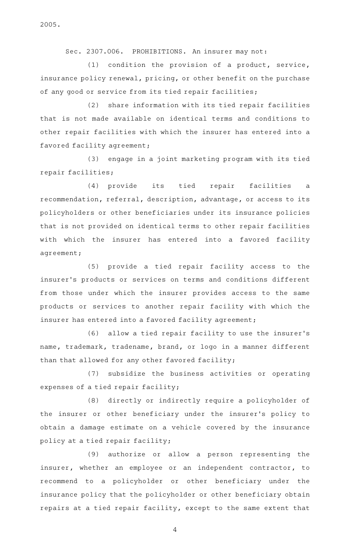2005.

Sec. 2307.006. PROHIBITIONS. An insurer may not:

 $(1)$  condition the provision of a product, service, insurance policy renewal, pricing, or other benefit on the purchase of any good or service from its tied repair facilities;

(2) share information with its tied repair facilities that is not made available on identical terms and conditions to other repair facilities with which the insurer has entered into a favored facility agreement;

(3) engage in a joint marketing program with its tied repair facilities;

(4) provide its tied repair facilities a recommendation, referral, description, advantage, or access to its policyholders or other beneficiaries under its insurance policies that is not provided on identical terms to other repair facilities with which the insurer has entered into a favored facility agreement;

(5) provide a tied repair facility access to the insurer 's products or services on terms and conditions different from those under which the insurer provides access to the same products or services to another repair facility with which the insurer has entered into a favored facility agreement;

(6) allow a tied repair facility to use the insurer's name, trademark, tradename, brand, or logo in a manner different than that allowed for any other favored facility;

(7) subsidize the business activities or operating expenses of a tied repair facility;

(8) directly or indirectly require a policyholder of the insurer or other beneficiary under the insurer 's policy to obtain a damage estimate on a vehicle covered by the insurance policy at a tied repair facility;

(9) authorize or allow a person representing the insurer, whether an employee or an independent contractor, to recommend to a policyholder or other beneficiary under the insurance policy that the policyholder or other beneficiary obtain repairs at a tied repair facility, except to the same extent that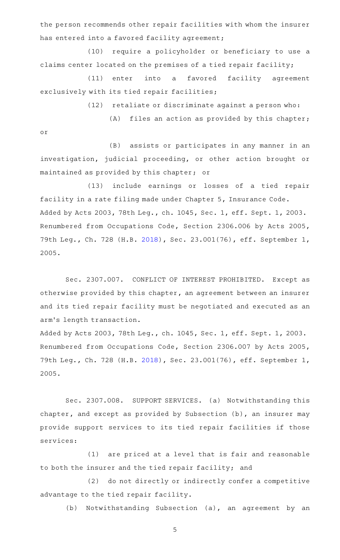the person recommends other repair facilities with whom the insurer has entered into a favored facility agreement;

(10) require a policyholder or beneficiary to use a claims center located on the premises of a tied repair facility;

(11) enter into a favored facility agreement exclusively with its tied repair facilities;

 $(12)$  retaliate or discriminate against a person who:

 $(A)$  files an action as provided by this chapter; or

(B) assists or participates in any manner in an investigation, judicial proceeding, or other action brought or maintained as provided by this chapter; or

(13) include earnings or losses of a tied repair facility in a rate filing made under Chapter 5, Insurance Code. Added by Acts 2003, 78th Leg., ch. 1045, Sec. 1, eff. Sept. 1, 2003. Renumbered from Occupations Code, Section 2306.006 by Acts 2005, 79th Leg., Ch. 728 (H.B. [2018\)](http://www.legis.state.tx.us/tlodocs/79R/billtext/html/HB02018F.HTM), Sec. 23.001(76), eff. September 1, 2005.

Sec. 2307.007. CONFLICT OF INTEREST PROHIBITED. Except as otherwise provided by this chapter, an agreement between an insurer and its tied repair facility must be negotiated and executed as an arm 's length transaction.

Added by Acts 2003, 78th Leg., ch. 1045, Sec. 1, eff. Sept. 1, 2003. Renumbered from Occupations Code, Section 2306.007 by Acts 2005, 79th Leg., Ch. 728 (H.B. [2018\)](http://www.legis.state.tx.us/tlodocs/79R/billtext/html/HB02018F.HTM), Sec. 23.001(76), eff. September 1, 2005.

Sec. 2307.008. SUPPORT SERVICES. (a) Notwithstanding this chapter, and except as provided by Subsection (b), an insurer may provide support services to its tied repair facilities if those services:

(1) are priced at a level that is fair and reasonable to both the insurer and the tied repair facility; and

(2) do not directly or indirectly confer a competitive advantage to the tied repair facility.

(b) Notwithstanding Subsection (a), an agreement by an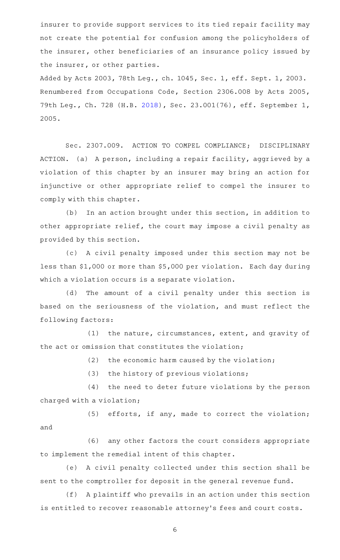insurer to provide support services to its tied repair facility may not create the potential for confusion among the policyholders of the insurer, other beneficiaries of an insurance policy issued by the insurer, or other parties.

Added by Acts 2003, 78th Leg., ch. 1045, Sec. 1, eff. Sept. 1, 2003. Renumbered from Occupations Code, Section 2306.008 by Acts 2005, 79th Leg., Ch. 728 (H.B. [2018\)](http://www.legis.state.tx.us/tlodocs/79R/billtext/html/HB02018F.HTM), Sec. 23.001(76), eff. September 1, 2005.

Sec. 2307.009. ACTION TO COMPEL COMPLIANCE; DISCIPLINARY ACTION. (a) A person, including a repair facility, aggrieved by a violation of this chapter by an insurer may bring an action for injunctive or other appropriate relief to compel the insurer to comply with this chapter.

(b) In an action brought under this section, in addition to other appropriate relief, the court may impose a civil penalty as provided by this section.

(c) A civil penalty imposed under this section may not be less than \$1,000 or more than \$5,000 per violation. Each day during which a violation occurs is a separate violation.

(d) The amount of a civil penalty under this section is based on the seriousness of the violation, and must reflect the following factors:

(1) the nature, circumstances, extent, and gravity of the act or omission that constitutes the violation;

 $(2)$  the economic harm caused by the violation;

 $(3)$  the history of previous violations;

(4) the need to deter future violations by the person charged with a violation;

 $(5)$  efforts, if any, made to correct the violation; and

(6) any other factors the court considers appropriate to implement the remedial intent of this chapter.

(e) A civil penalty collected under this section shall be sent to the comptroller for deposit in the general revenue fund.

(f) A plaintiff who prevails in an action under this section is entitled to recover reasonable attorney 's fees and court costs.